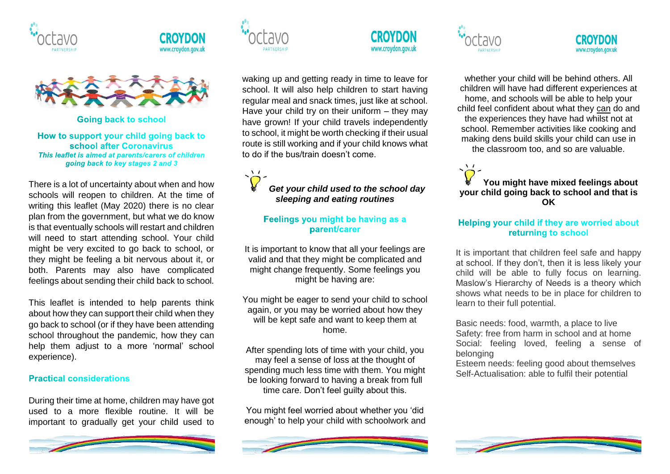





**Going back to school** 

How to support your child going back to school after Coronavirus This leaflet is aimed at parents/carers of children going back to key stages 2 and 3

There is a lot of uncertainty about when and how schools will reopen to children. At the time of writing this leaflet (May 2020) there is no clear plan from the government, but what we do know is that eventually schools will restart and children will need to start attending school. Your child might be very excited to go back to school, or they might be feeling a bit nervous about it, or both. Parents may also have complicated feelings about sending their child back to school.

This leaflet is intended to help parents think about how they can support their child when they go back to school (or if they have been attending school throughout the pandemic, how they can help them adjust to a more 'normal' school experience).

#### **Practical considerations**

During their time at home, children may have got used to a more flexible routine. It will be important to gradually get your child used to







waking up and getting ready in time to leave for school. It will also help children to start having regular meal and snack times, just like at school. Have your child try on their uniform – they may have grown! If your child travels independently to school, it might be worth checking if their usual route is still working and if your child knows what to do if the bus/train doesn't come.

# *Get your child used to the school day sleeping and eating routines*

### Feelings you might be having as a parent/carer

It is important to know that all your feelings are valid and that they might be complicated and might change frequently. Some feelings you might be having are:

You might be eager to send your child to school again, or you may be worried about how they will be kept safe and want to keep them at home.

After spending lots of time with your child, you may feel a sense of loss at the thought of spending much less time with them. You might be looking forward to having a break from full time care. Don't feel guilty about this.

You might feel worried about whether you 'did enough' to help your child with schoolwork and



whether your child will be behind others. All children will have had different experiences at home, and schools will be able to help your child feel confident about what they can do and the experiences they have had whilst not at school. Remember activities like cooking and

making dens build skills your child can use in the classroom too, and so are valuable.

 $\dot{\sigma}$ **You might have mixed feelings about your child going back to school and that is OK**

# Helping your child if they are worried about returning to school

It is important that children feel safe and happy at school. If they don't, then it is less likely your child will be able to fully focus on learning. Maslow's Hierarchy of Needs is a theory which shows what needs to be in place for children to learn to their full potential.

Basic needs: food, warmth, a place to live Safety: free from harm in school and at home Social: feeling loved, feeling a sense of belonging

Esteem needs: feeling good about themselves Self-Actualisation: able to fulfil their potential